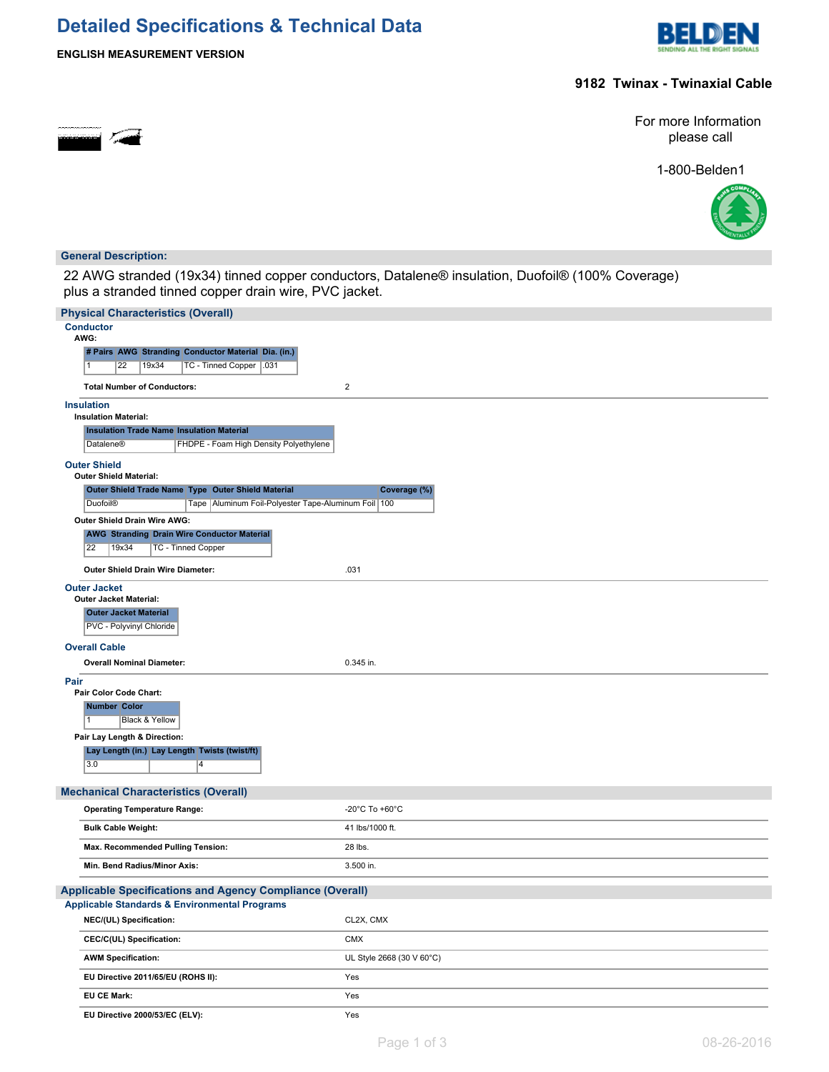# **Detailed Specifications & Technical Data**



**ENGLISH MEASUREMENT VERSION**

## **9182 Twinax - Twinaxial Cable**

For more Information please call

1-800-Belden1



#### **General Description:**

22 AWG stranded (19x34) tinned copper conductors, Datalene® insulation, Duofoil® (100% Coverage) plus a stranded tinned copper drain wire, PVC jacket.

| <b>Physical Characteristics (Overall)</b>                                                      |                           |
|------------------------------------------------------------------------------------------------|---------------------------|
| <b>Conductor</b><br>AWG:                                                                       |                           |
| # Pairs AWG Stranding Conductor Material Dia. (in.)                                            |                           |
| 22<br>19x34<br>TC - Tinned Copper   .031<br>1                                                  |                           |
| <b>Total Number of Conductors:</b>                                                             | $\overline{c}$            |
| <b>Insulation</b>                                                                              |                           |
| <b>Insulation Material:</b>                                                                    |                           |
| <b>Insulation Trade Name Insulation Material</b>                                               |                           |
| FHDPE - Foam High Density Polyethylene<br>Datalene®                                            |                           |
| <b>Outer Shield</b><br><b>Outer Shield Material:</b>                                           |                           |
| Outer Shield Trade Name Type Outer Shield Material                                             | Coverage (%)              |
| <b>Duofoil®</b><br>Tape   Aluminum Foil-Polyester Tape-Aluminum Foil   100                     |                           |
| Outer Shield Drain Wire AWG:                                                                   |                           |
| <b>AWG Stranding Drain Wire Conductor Material</b><br>22<br><b>TC - Tinned Copper</b><br>19x34 |                           |
| Outer Shield Drain Wire Diameter:                                                              |                           |
| <b>Outer Jacket</b>                                                                            | .031                      |
| <b>Outer Jacket Material:</b>                                                                  |                           |
| <b>Outer Jacket Material</b>                                                                   |                           |
| PVC - Polyvinyl Chloride                                                                       |                           |
| <b>Overall Cable</b>                                                                           |                           |
| <b>Overall Nominal Diameter:</b>                                                               | 0.345 in.                 |
| Pair                                                                                           |                           |
| Pair Color Code Chart:<br><b>Number Color</b>                                                  |                           |
| 11<br>Black & Yellow                                                                           |                           |
| Pair Lay Length & Direction:                                                                   |                           |
| Lay Length (in.) Lay Length Twists (twist/ft)<br>3.0<br>$\overline{4}$                         |                           |
| <b>Mechanical Characteristics (Overall)</b>                                                    |                           |
| <b>Operating Temperature Range:</b>                                                            | -20°C To +60°C            |
| <b>Bulk Cable Weight:</b>                                                                      | 41 lbs/1000 ft.           |
| Max. Recommended Pulling Tension:                                                              | 28 lbs.                   |
| Min. Bend Radius/Minor Axis:                                                                   | 3.500 in.                 |
| <b>Applicable Specifications and Agency Compliance (Overall)</b>                               |                           |
| <b>Applicable Standards &amp; Environmental Programs</b>                                       |                           |
| NEC/(UL) Specification:                                                                        | CL2X, CMX                 |
| CEC/C(UL) Specification:                                                                       | <b>CMX</b>                |
| <b>AWM Specification:</b>                                                                      | UL Style 2668 (30 V 60°C) |
| EU Directive 2011/65/EU (ROHS II):                                                             | Yes                       |
| EU CE Mark:                                                                                    | Yes                       |
| EU Directive 2000/53/EC (ELV):                                                                 | Yes                       |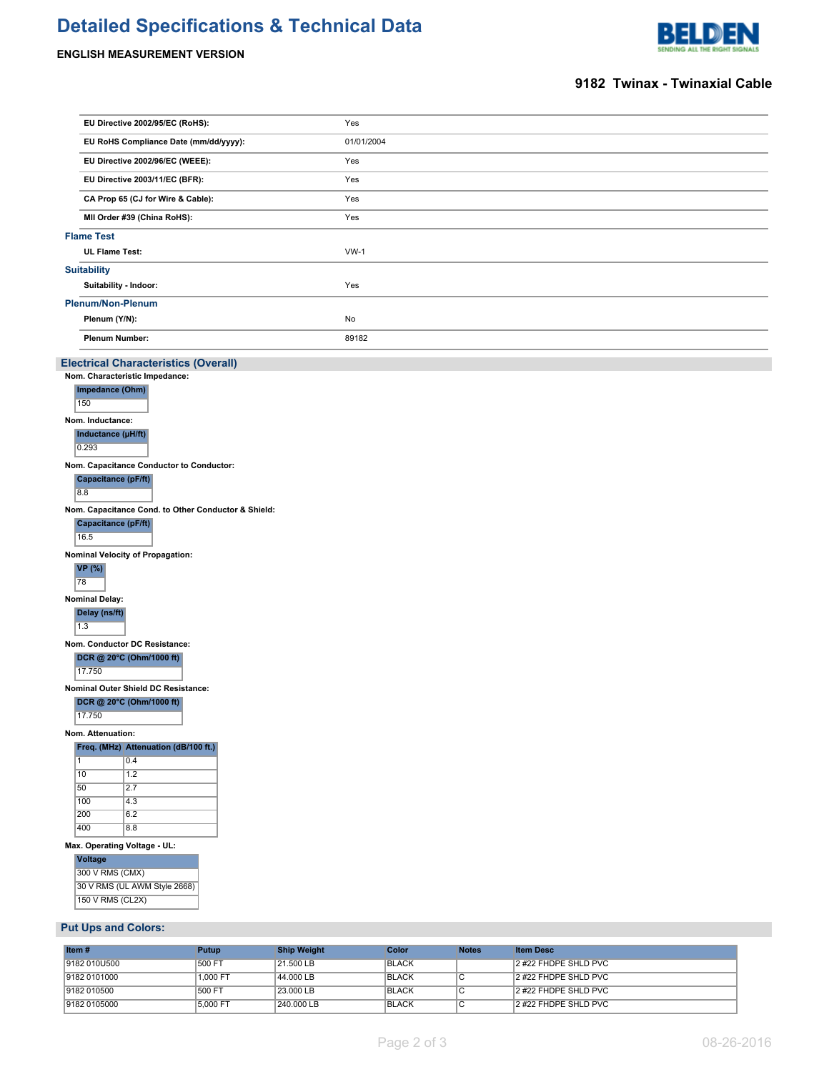# **Detailed Specifications & Technical Data**

# **ENGLISH MEASUREMENT VERSION**



### **9182 Twinax - Twinaxial Cable**

| EU Directive 2002/95/EC (RoHS):                               |              | Yes                |              |                |                      |  |
|---------------------------------------------------------------|--------------|--------------------|--------------|----------------|----------------------|--|
| EU RoHS Compliance Date (mm/dd/yyyy):                         |              | 01/01/2004         |              |                |                      |  |
| EU Directive 2002/96/EC (WEEE):                               |              | Yes                |              |                |                      |  |
| EU Directive 2003/11/EC (BFR):                                |              | Yes                |              |                |                      |  |
| CA Prop 65 (CJ for Wire & Cable):                             |              | Yes                |              |                |                      |  |
| MII Order #39 (China RoHS):                                   |              | Yes                |              |                |                      |  |
| <b>Flame Test</b>                                             |              |                    |              |                |                      |  |
| <b>UL Flame Test:</b>                                         |              | $VW-1$             |              |                |                      |  |
| <b>Suitability</b>                                            |              |                    |              |                |                      |  |
| Suitability - Indoor:                                         |              | Yes                |              |                |                      |  |
| <b>Plenum/Non-Plenum</b>                                      |              |                    |              |                |                      |  |
| Plenum (Y/N):                                                 |              | No                 |              |                |                      |  |
| <b>Plenum Number:</b>                                         |              | 89182              |              |                |                      |  |
| <b>Electrical Characteristics (Overall)</b>                   |              |                    |              |                |                      |  |
| Nom. Characteristic Impedance:                                |              |                    |              |                |                      |  |
| Impedance (Ohm)                                               |              |                    |              |                |                      |  |
| 150                                                           |              |                    |              |                |                      |  |
| Nom. Inductance:                                              |              |                    |              |                |                      |  |
| Inductance (µH/ft)<br>0.293                                   |              |                    |              |                |                      |  |
| Nom. Capacitance Conductor to Conductor:                      |              |                    |              |                |                      |  |
| Capacitance (pF/ft)                                           |              |                    |              |                |                      |  |
| 8.8                                                           |              |                    |              |                |                      |  |
| Nom. Capacitance Cond. to Other Conductor & Shield:           |              |                    |              |                |                      |  |
| Capacitance (pF/ft)                                           |              |                    |              |                |                      |  |
| 16.5                                                          |              |                    |              |                |                      |  |
| Nominal Velocity of Propagation:<br><b>VP</b> (%)             |              |                    |              |                |                      |  |
| 78                                                            |              |                    |              |                |                      |  |
| <b>Nominal Delay:</b>                                         |              |                    |              |                |                      |  |
| Delay (ns/ft)                                                 |              |                    |              |                |                      |  |
| 1.3                                                           |              |                    |              |                |                      |  |
| Nom. Conductor DC Resistance:                                 |              |                    |              |                |                      |  |
| DCR @ 20°C (Ohm/1000 ft)<br>17.750                            |              |                    |              |                |                      |  |
| Nominal Outer Shield DC Resistance:                           |              |                    |              |                |                      |  |
| DCR @ 20°C (Ohm/1000 ft)                                      |              |                    |              |                |                      |  |
| 17.750                                                        |              |                    |              |                |                      |  |
| Nom. Attenuation:                                             |              |                    |              |                |                      |  |
| Freq. (MHz) Attenuation (dB/100 ft.)<br>$\overline{1}$<br>0.4 |              |                    |              |                |                      |  |
| 10<br>1.2                                                     |              |                    |              |                |                      |  |
| 50<br>2.7                                                     |              |                    |              |                |                      |  |
| 100<br>4.3<br>200                                             |              |                    |              |                |                      |  |
| 6.2<br>400<br>8.8                                             |              |                    |              |                |                      |  |
| Max. Operating Voltage - UL:                                  |              |                    |              |                |                      |  |
| <b>Voltage</b>                                                |              |                    |              |                |                      |  |
| 300 V RMS (CMX)                                               |              |                    |              |                |                      |  |
| 30 V RMS (UL AWM Style 2668)<br>150 V RMS (CL2X)              |              |                    |              |                |                      |  |
|                                                               |              |                    |              |                |                      |  |
| <b>Put Ups and Colors:</b>                                    |              |                    |              |                |                      |  |
| Item#                                                         | <b>Putup</b> | <b>Ship Weight</b> | <b>Color</b> | <b>Notes</b>   | <b>Item Desc</b>     |  |
| 9182 010U500                                                  | 500 FT       | 21.500 LB          | <b>BLACK</b> |                | 2 #22 FHDPE SHLD PVC |  |
| 9182 0101000                                                  | 1,000 FT     | 44.000 LB          | <b>BLACK</b> | $\overline{C}$ | 2 #22 FHDPE SHLD PVC |  |
| 9182 010500                                                   | 500 FT       | 23.000 LB          | <b>BLACK</b> | $\overline{c}$ | 2 #22 FHDPE SHLD PVC |  |

9182 010500 500 FT 23.000 LB BLACK C 2 #22 FHDPE SHLD PVC 9182 0105000 5,000 FT 240.000 LB BLACK C 2 #22 FHDPE SHLD PVC